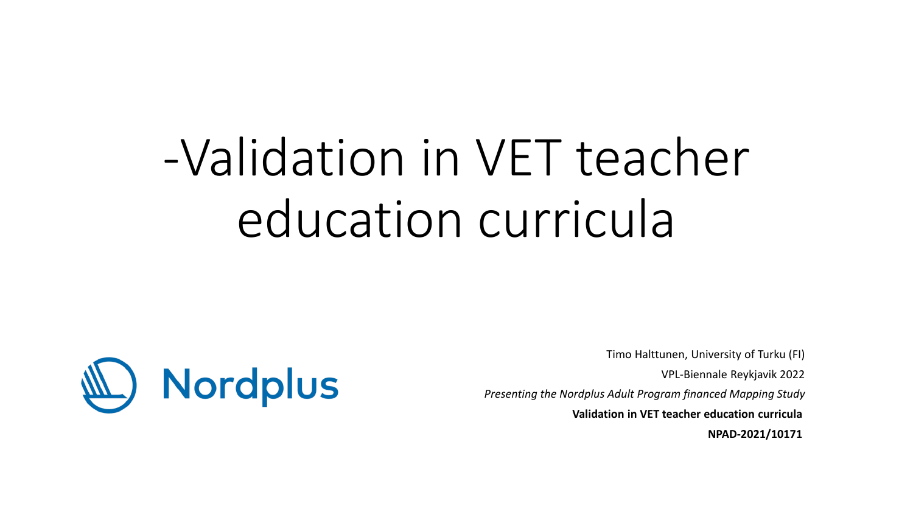# -Validation in VET teacher education curricula



Timo Halttunen, University of Turku (FI) VPL-Biennale Reykjavik 2022 *Presenting the Nordplus Adult Program financed Mapping Study* **Validation in VET teacher education curricula NPAD-2021/10171**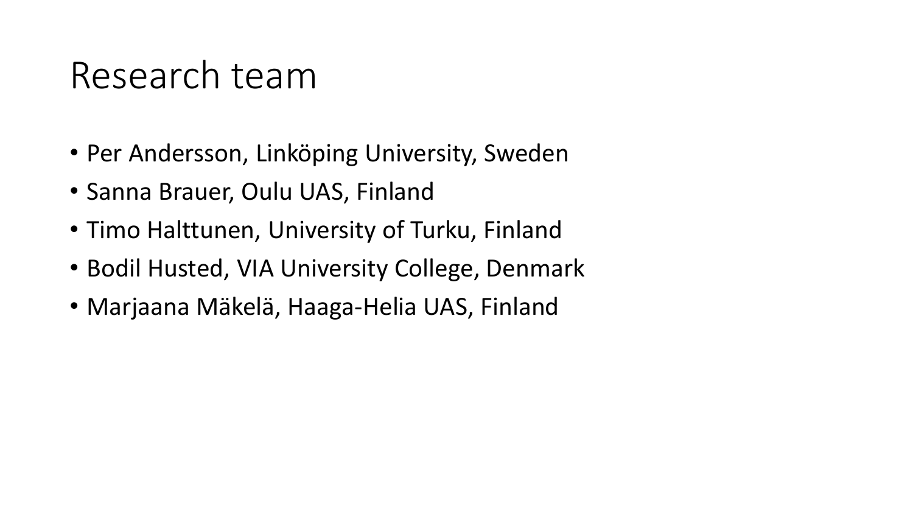#### Research team

- Per Andersson, Linköping University, Sweden
- Sanna Brauer, Oulu UAS, Finland
- Timo Halttunen, University of Turku, Finland
- Bodil Husted, VIA University College, Denmark
- Marjaana Mäkelä, Haaga-Helia UAS, Finland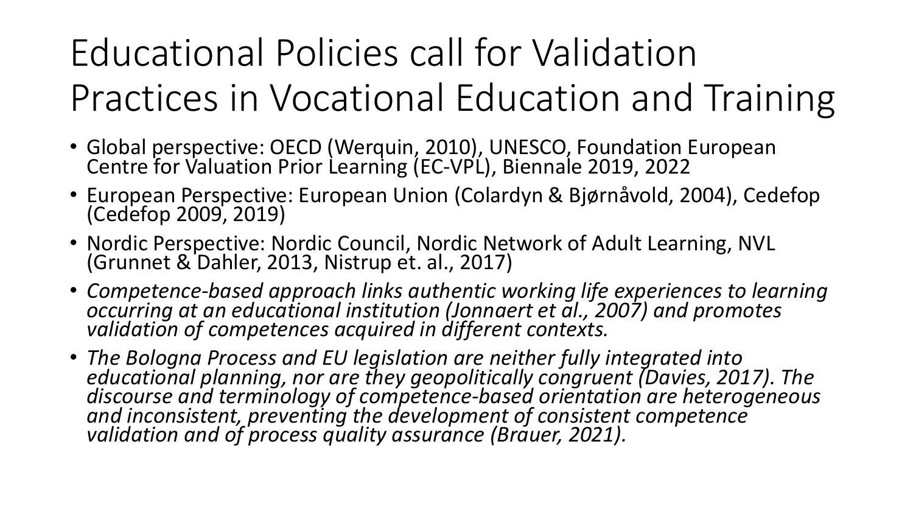# Educational Policies call for Validation Practices in Vocational Education and Training

- Global perspective: OECD (Werquin, 2010), UNESCO, Foundation European Centre for Valuation Prior Learning (EC-VPL), Biennale 2019, 2022
- European Perspective: European Union (Colardyn & Bjørnåvold, 2004), Cedefop (Cedefop 2009, 2019)
- Nordic Perspective: Nordic Council, Nordic Network of Adult Learning, NVL (Grunnet & Dahler, 2013, Nistrup et. al., 2017)
- Competence-based approach links authentic working life experiences to learning<br>occurring at an educational institution (Jonnaert et al., 2007) and promotes<br>validation of competences acquired in different contexts.
- *The Bologna Process and EU legislation are neither fully integrated into educational planning, nor are they geopolitically congruent (Davies, 2017). The discourse and terminology of competence-based orientation are heterogeneous and inconsistent, preventing the development of consistent competence validation and of process quality assurance (Brauer, 2021).*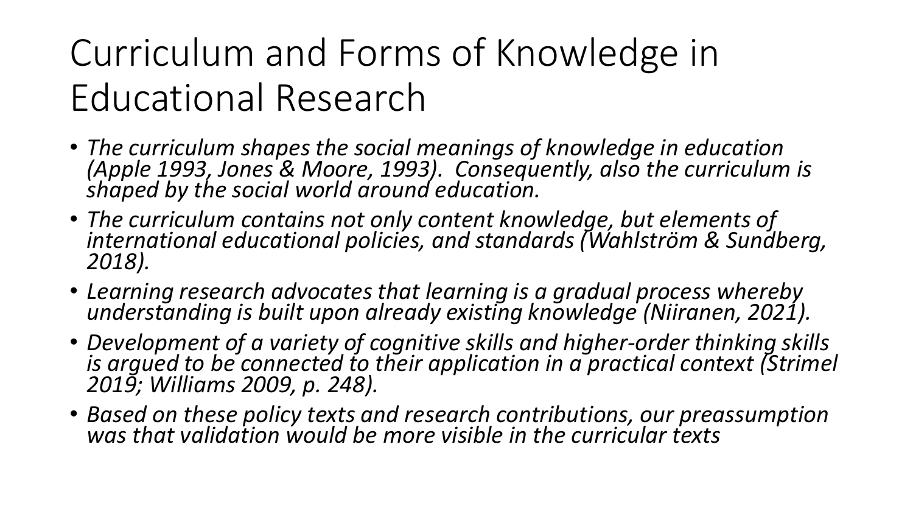# Curriculum and Forms of Knowledge in Educational Research

- *The curriculum shapes the social meanings of knowledge in education (Apple 1993, Jones & Moore, 1993). Consequently, also the curriculum is shaped by the social world around education.*
- *The curriculum contains not only content knowledge, but elements of international educational policies, and standards (Wahlström & Sundberg, 2018).*
- *Learning research advocates that learning is a gradual process whereby understanding is built upon already existing knowledge (Niiranen, 2021).*
- *Development of a variety of cognitive skills and higher-order thinking skills is argued to be connected to their application in a practical context (Strimel 2019; Williams 2009, p. 248).*
- *Based on these policy texts and research contributions, our preassumption was that validation would be more visible in the curricular texts*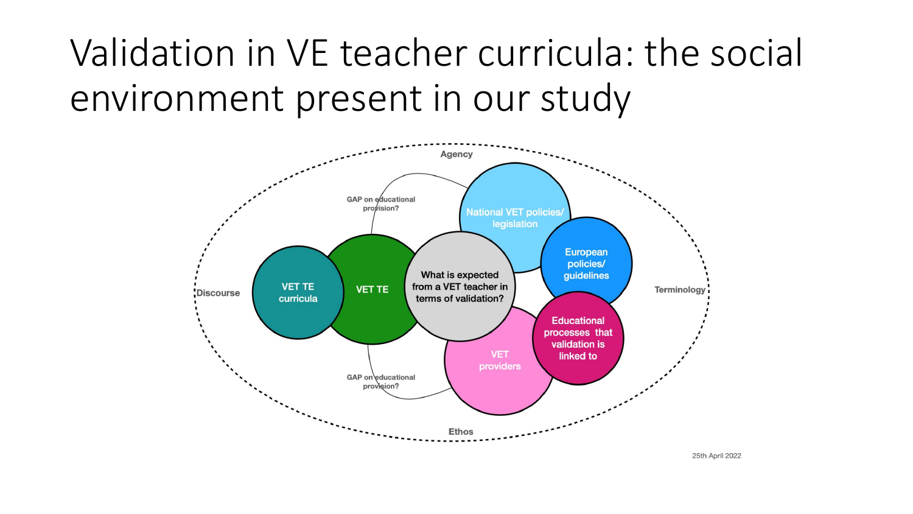## Validation in VE teacher curricula: the social environment present in our study

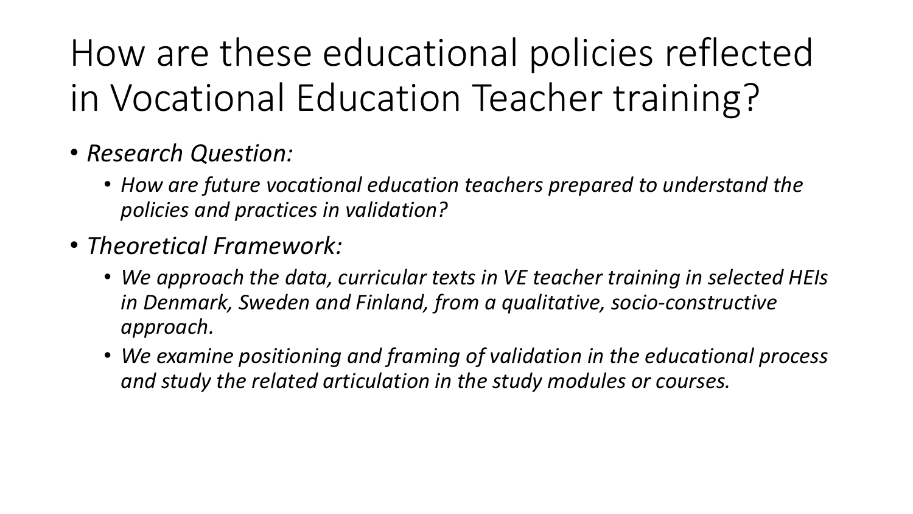How are these educational policies reflected in Vocational Education Teacher training?

- *Research Question:*
	- *How are future vocational education teachers prepared to understand the policies and practices in validation?*
- *Theoretical Framework:*
	- *We approach the data, curricular texts in VE teacher training in selected HEIs in Denmark, Sweden and Finland, from a qualitative, socio-constructive approach.*
	- *We examine positioning and framing of validation in the educational process and study the related articulation in the study modules or courses.*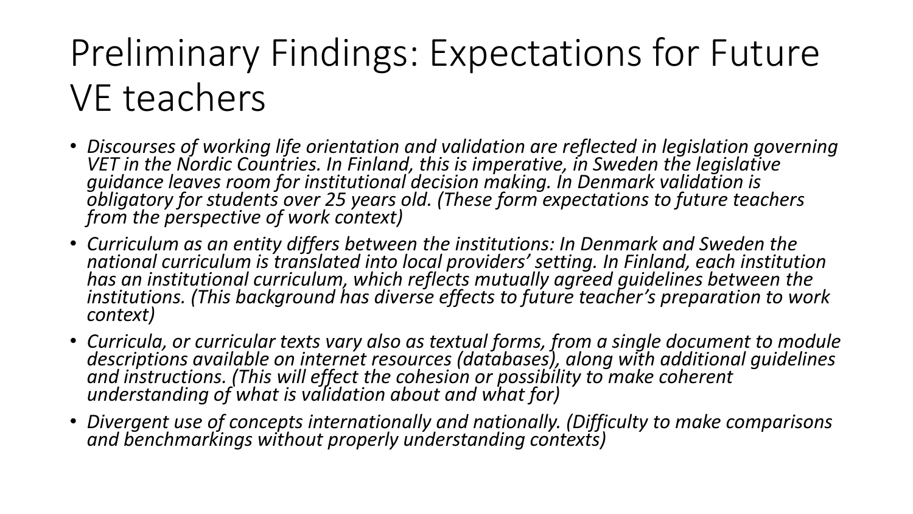## Preliminary Findings: Expectations for Future VE teachers

- *Discourses of working life orientation and validation are reflected in legislation governing*<br>VET in the Nordic Countries. In Finland, this is imperative, in Sweden the legislative *guidance leaves room for institutional decision making. In Denmark validation is obligatory for students over 25 years old. (These form expectations to future teachers from the perspective of work context)*
- *Curriculum as an entity differs between the institutions: In Denmark and Sweden the national curriculum is translated into local providers' setting. In Finland, each institution has an institutional curriculum, which reflects mutually agreed guidelines between the institutions. (This background has diverse effects to future teacher's preparation to work context)*
- *Curricula, or curricular texts vary also as textual forms, from a single document to module descriptions available on internet resources (databases), along with additional guidelines and instructions. (This will effect the cohesion or possibility to make coherent understanding of what is validation about and what for)*
- Divergent use of concepts internationally and nationally. (Difficulty to make comparisons<br>and benchmarkings without properly understanding contexts)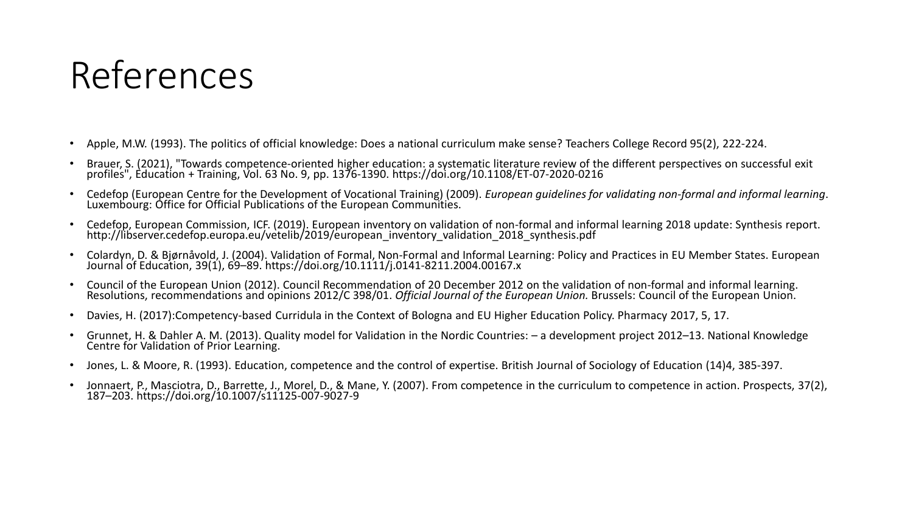### References

- Apple, M.W. (1993). The politics of official knowledge: Does a national curriculum make sense? Teachers College Record 95(2), 222-224.
- Brauer, S. (2021), "Towards competence-oriented higher education: a systematic literature review of the different perspectives on successful exit profiles", Education + Training, Vol. 63 No. 9, pp. 1376-1390. https://doi.org/10.1108/ET-07-2020-0216
- Cedefop (European Centre for the Development of Vocational Training) (2009). European guidelines for validating non-formal and informal learning.<br>Luxembourg: Office for Official Publications of the European Communities.
- Cedefop, European Commission, ICF. (2019). European inventory on validation of non-formal and informal learning 2018 update: Synthesis report.<br>http://libserver.cedefop.europa.eu/vetelib/2019/european inventory validation
- Colardyn, D. & Bjørnåvold, J. (2004). Validation of Formal, Non-Formal and Informal Learning: Policy and Practices in EU Member States. European<br>Journal of Education, 39(1), 69–89. https://doi.org/10.1111/j.0141-8211.2004.
- Council of the European Union (2012). Council Recommendation of 20 December 2012 on the validation of non-formal and informal learning.<br>Resolutions, recommendations and opinions 2012/C 398/01. Official Journal of the Eur
- Davies, H. (2017):Competency-based Curridula in the Context of Bologna and EU Higher Education Policy. Pharmacy 2017, 5, 17.
- Grunnet, H. & Dahler A. M. (2013). Quality model for Validation in the Nordic Countries: a development project 2012-13. National Knowledge Centre for Validation of Prior Learning.
- Jones, L. & Moore, R. (1993). Education, competence and the control of expertise. British Journal of Sociology of Education (14)4, 385-397.
- Jonnaert, P., Masciotra, D., Barrette, J., Morel, D., & Mane, Y. (2007). From competence in the curriculum to competence in action. Prospects, 37(2), 187–203. https://doi.org/10.1007/s11125-007-9027-9